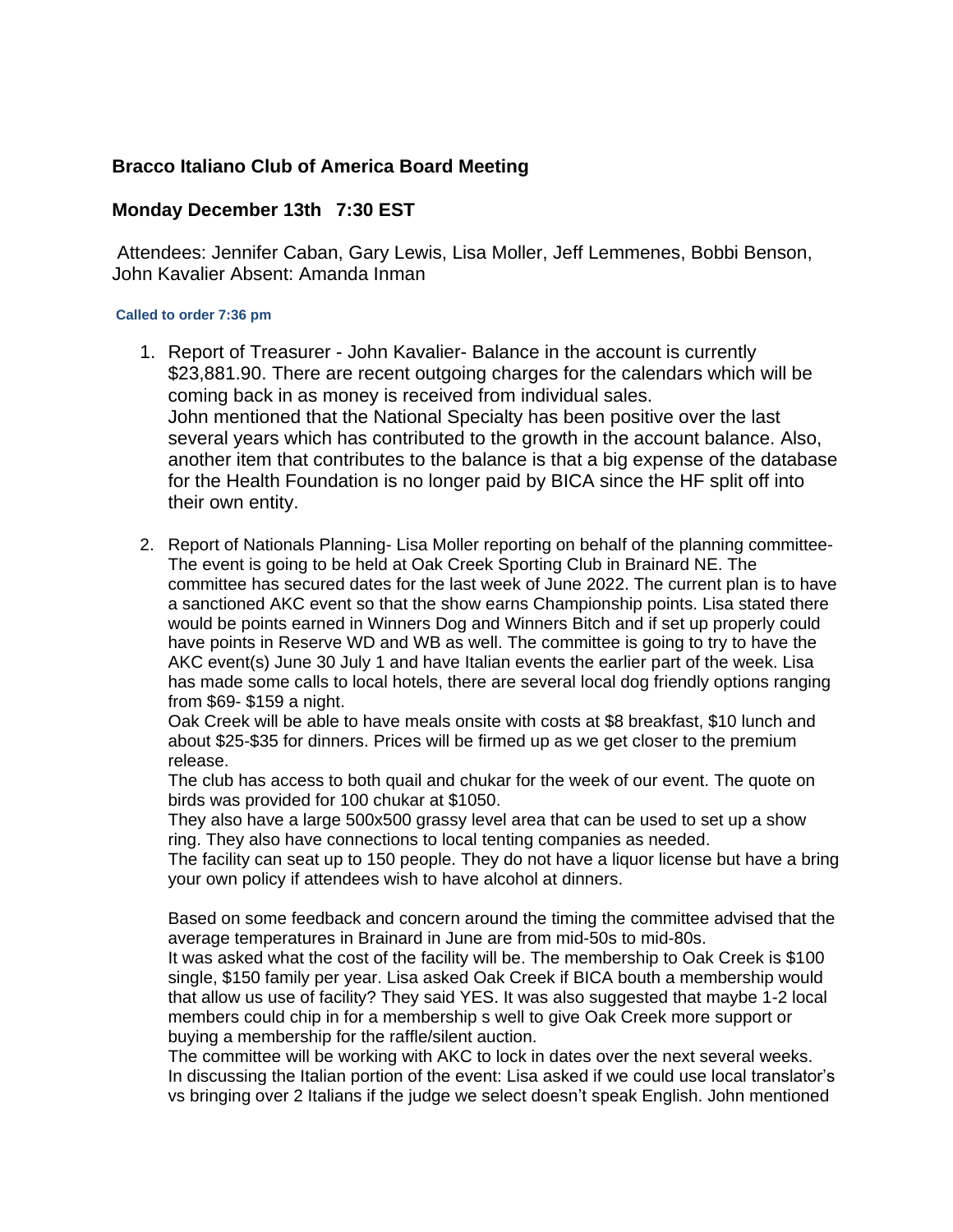## **Bracco Italiano Club of America Board Meeting**

## **Monday December 13th 7:30 EST**

Attendees: Jennifer Caban, Gary Lewis, Lisa Moller, Jeff Lemmenes, Bobbi Benson, John Kavalier Absent: Amanda Inman

## **Called to order 7:36 pm**

- 1. Report of Treasurer John Kavalier- Balance in the account is currently \$23,881.90. There are recent outgoing charges for the calendars which will be coming back in as money is received from individual sales. John mentioned that the National Specialty has been positive over the last several years which has contributed to the growth in the account balance. Also, another item that contributes to the balance is that a big expense of the database for the Health Foundation is no longer paid by BICA since the HF split off into their own entity.
- 2. Report of Nationals Planning- Lisa Moller reporting on behalf of the planning committee-The event is going to be held at Oak Creek Sporting Club in Brainard NE. The committee has secured dates for the last week of June 2022. The current plan is to have a sanctioned AKC event so that the show earns Championship points. Lisa stated there would be points earned in Winners Dog and Winners Bitch and if set up properly could have points in Reserve WD and WB as well. The committee is going to try to have the AKC event(s) June 30 July 1 and have Italian events the earlier part of the week. Lisa has made some calls to local hotels, there are several local dog friendly options ranging from \$69- \$159 a night.

Oak Creek will be able to have meals onsite with costs at \$8 breakfast, \$10 lunch and about \$25-\$35 for dinners. Prices will be firmed up as we get closer to the premium release.

The club has access to both quail and chukar for the week of our event. The quote on birds was provided for 100 chukar at \$1050.

They also have a large 500x500 grassy level area that can be used to set up a show ring. They also have connections to local tenting companies as needed.

The facility can seat up to 150 people. They do not have a liquor license but have a bring your own policy if attendees wish to have alcohol at dinners.

Based on some feedback and concern around the timing the committee advised that the average temperatures in Brainard in June are from mid-50s to mid-80s.

It was asked what the cost of the facility will be. The membership to Oak Creek is \$100 single, \$150 family per year. Lisa asked Oak Creek if BICA bouth a membership would that allow us use of facility? They said YES. It was also suggested that maybe 1-2 local members could chip in for a membership s well to give Oak Creek more support or buying a membership for the raffle/silent auction.

The committee will be working with AKC to lock in dates over the next several weeks. In discussing the Italian portion of the event: Lisa asked if we could use local translator's vs bringing over 2 Italians if the judge we select doesn't speak English. John mentioned